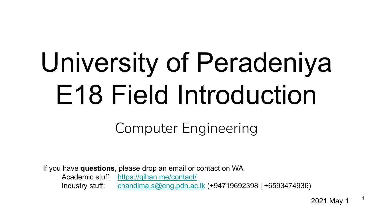# University of Peradeniya E18 Field Introduction

Computer Engineering

If you have **questions**, please drop an email or contact on WA Academic stuff: <https://gihan.me/contact/> Industry stuff: [chandima.s@eng.pdn.ac.lk](mailto:chandima.s@eng.pdn.ac.lk) (+94719692398 | +6593474936)

2021 May 1

1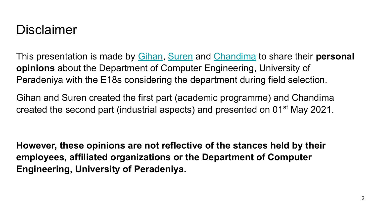### Disclaimer

This presentation is made by [Gihan](https://gihan.me), [Suren](http://suren3141.github.io/) and [Chandima](https://sausecode.com/chandima/) to share their **personal opinions** about the Department of Computer Engineering, University of Peradeniya with the E18s considering the department during field selection.

Gihan and Suren created the first part (academic programme) and Chandima created the second part (industrial aspects) and presented on 01<sup>st</sup> May 2021.

**However, these opinions are not reflective of the stances held by their employees, affiliated organizations or the Department of Computer Engineering, University of Peradeniya.**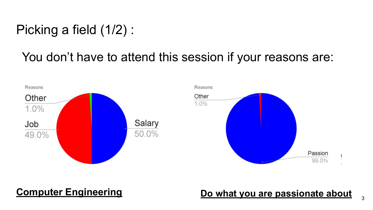### Picking a field (1/2) :

### You don't have to attend this session if your reasons are:



### **Computer Engineering <b>Do what you are passionate about**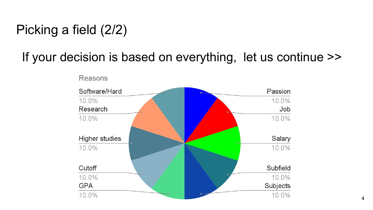### Picking a field (2/2)

### If your decision is based on everything, let us continue >>

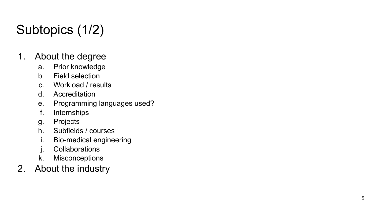# Subtopics (1/2)

- 1. About the degree
	- a. Prior knowledge
	- b. Field selection
	- c. Workload / results
	- d. Accreditation
	- e. Programming languages used?
	- f. Internships
	- g. Projects
	- h. Subfields / courses
	- i. Bio-medical engineering
	- j. Collaborations
	- k. Misconceptions
- 2. About the industry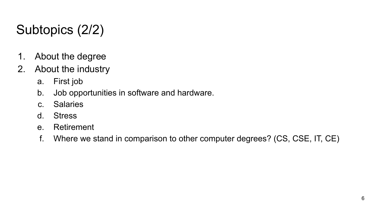# Subtopics (2/2)

- 1. About the degree
- 2. About the industry
	- a. First job
	- b. Job opportunities in software and hardware.
	- c. Salaries
	- d. Stress
	- e. Retirement
	- f. Where we stand in comparison to other computer degrees? (CS, CSE, IT, CE)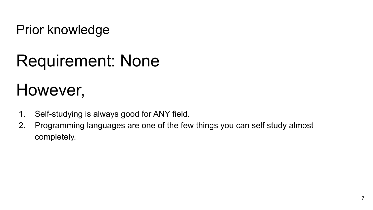Prior knowledge

# Requirement: None

# However,

- 1. Self-studying is always good for ANY field.
- 2. Programming languages are one of the few things you can self study almost completely.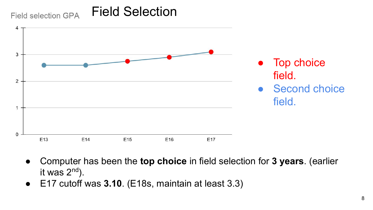#### Field Selection Field selection GPA



- Computer has been the **top choice** in field selection for **3 years**. (earlier it was  $2<sup>nd</sup>$ ).
- E17 cutoff was **3.10**. (E18s, maintain at least 3.3)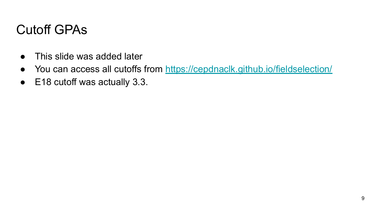### Cutoff GPAs

- This slide was added later
- You can access all cutoffs from<https://cepdnaclk.github.io/fieldselection/>
- E18 cutoff was actually 3.3.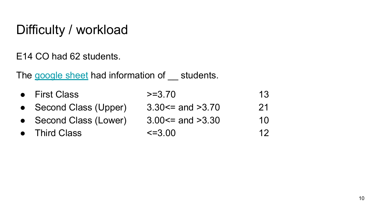# Difficulty / workload

E14 CO had 62 students.

The [google sheet](https://docs.google.com/spreadsheets/d/14Qi553eA6kWbT9B61yB-tZ_mc40Jx0wPlM0R4UqZanM/edit) had information of students.

| <b>First Class</b><br>$>=3.70$ |  |
|--------------------------------|--|
|--------------------------------|--|

- Second Class (Upper)  $3.30 \le$  and  $>3.70$  21
- 
- 
- Second Class (Lower)  $3.00 \le$  and  $>3.30$  10
- Third Class  $\leq 3.00$  12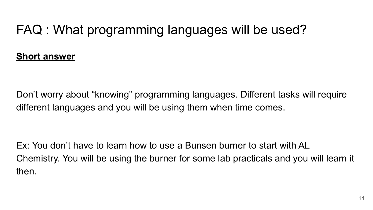# FAQ : What programming languages will be used?

### **Short answer**

Don't worry about "knowing" programming languages. Different tasks will require different languages and you will be using them when time comes.

Ex: You don't have to learn how to use a Bunsen burner to start with AL Chemistry. You will be using the burner for some lab practicals and you will learn it then.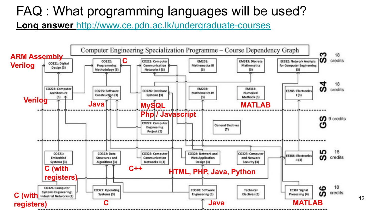### FAQ : What programming languages will be used?

**Long answer** <http://www.ce.pdn.ac.lk/undergraduate-courses>

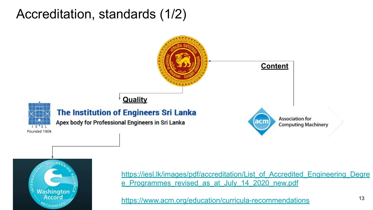### Accreditation, standards (1/2)





[https://iesl.lk/images/pdf/accreditation/List\\_of\\_Accredited\\_Engineering\\_Degre](https://iesl.lk/images/pdf/accreditation/List_of_Accredited_Engineering_Degree_Programmes_revised_as_at_July_14_2020_new.pdf) [e\\_Programmes\\_revised\\_as\\_at\\_July\\_14\\_2020\\_new.pdf](https://iesl.lk/images/pdf/accreditation/List_of_Accredited_Engineering_Degree_Programmes_revised_as_at_July_14_2020_new.pdf)

<https://www.acm.org/education/curricula-recommendations>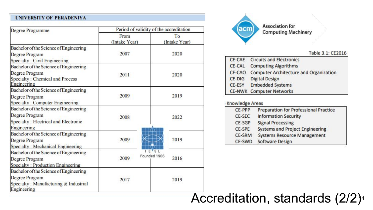#### **UNIVERSITY OF PERADENIYA**

| Degree Programme                                                                              | Period of validity of the accreditation |                      |  |
|-----------------------------------------------------------------------------------------------|-----------------------------------------|----------------------|--|
|                                                                                               | From<br>(Intake Year)                   | To<br>(Intake Year)  |  |
| Bachelor of the Science of Engineering<br>Degree Program<br>Specialty: Civil Engineering      | 2007                                    | 2020                 |  |
| Bachelor of the Science of Engineering                                                        |                                         |                      |  |
| Degree Program<br>Specialty: Chemical and Process<br>Engineering                              | 2011                                    | 2020                 |  |
| Bachelor of the Science of Engineering                                                        |                                         | 2019                 |  |
| Degree Program<br>Specialty: Computer Engineering                                             | 2009                                    |                      |  |
| Bachelor of the Science of Engineering                                                        |                                         |                      |  |
| Degree Program<br>Specialty: Electrical and Electronic<br>Engineering                         | 2008                                    | 2022                 |  |
| Bachelor of the Science of Engineering<br>Degree Program<br>Specialty: Mechanical Engineering | 2009                                    | 2019                 |  |
| Bachelor of the Science of Engineering<br>Degree Program<br>Specialty: Production Engineering | 2009                                    | Founded 1906<br>2016 |  |
| Bachelor of the Science of Engineering                                                        |                                         |                      |  |
| Degree Program<br>Specialty: Manufacturing & Industrial<br>Engineering                        | 2017                                    | 2019                 |  |



#### Table 3.1: CE2016

|        | <b>CE-CAE</b> Circuits and Electronics |
|--------|----------------------------------------|
| CE-CAL | <b>Computing Algorithms</b>            |
| CE-CAO | Computer Architecture and Organization |
| CE-DIG | <b>Digital Design</b>                  |
| CE-ESY | <b>Embedded Systems</b>                |
|        | <b>CE-NWK</b> Computer Networks        |

#### Knowledge Areas

| CE-PPP        | <b>Preparation for Professional Practice</b> |  |
|---------------|----------------------------------------------|--|
| <b>CE-SEC</b> | <b>Information Security</b>                  |  |
| CE-SGP        | <b>Signal Processing</b>                     |  |
| CE-SPE        | <b>Systems and Project Engineering</b>       |  |
| <b>CE-SRM</b> | <b>Systems Resource Management</b>           |  |
| <b>CE-SWD</b> | Software Design                              |  |

### Accreditation, standards  $(2/2)<sup>4</sup>$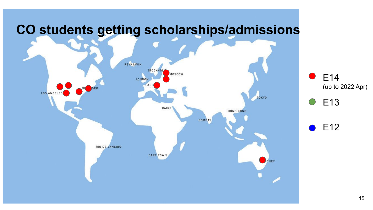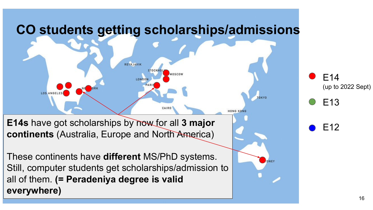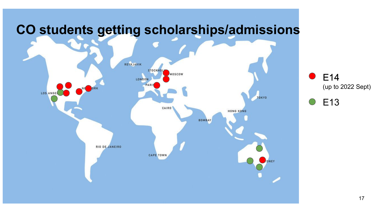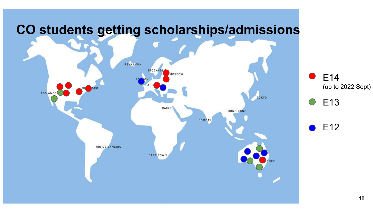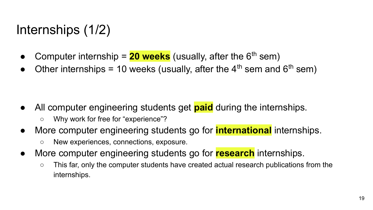### Internships (1/2)

- Computer internship =  $20$  weeks (usually, after the  $6<sup>th</sup>$  sem)
- Other internships = 10 weeks (usually, after the  $4<sup>th</sup>$  sem and  $6<sup>th</sup>$  sem)

- All computer engineering students get **paid** during the internships.
	- Why work for free for "experience"?
- More computer engineering students go for **international** internships.
	- New experiences, connections, exposure.
- More computer engineering students go for **research** internships.
	- This far, only the computer students have created actual research publications from the internships.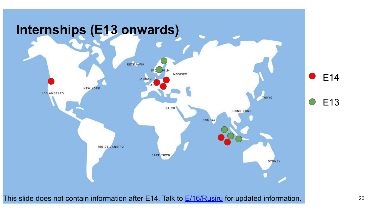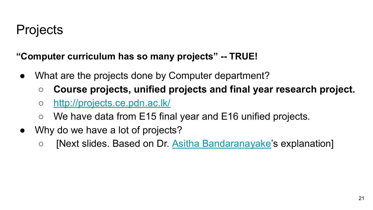### **Projects**

**"Computer curriculum has so many projects" -- TRUE!**

- What are the projects done by Computer department?
	- **Course projects, unified projects and final year research project.**
	- <http://projects.ce.pdn.ac.lk/>
	- We have data from E15 final year and E16 unified projects.
- Why do we have a lot of projects?
	- [Next slides. Based on Dr. [Asitha Bandaranayake'](http://www.ce.pdn.ac.lk/academic-staff/asitha-bandaranayake/)s explanation]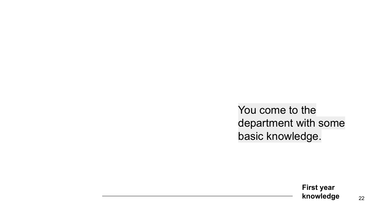You come to the department with some basic knowledge.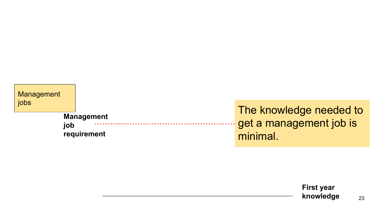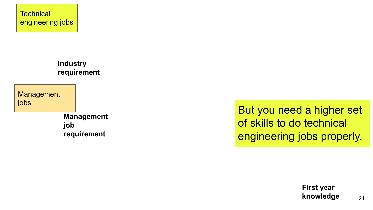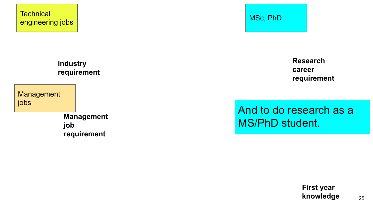

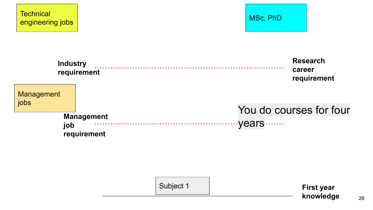



| Subject 1 | <b>First year</b> |
|-----------|-------------------|
|           | knowledge         |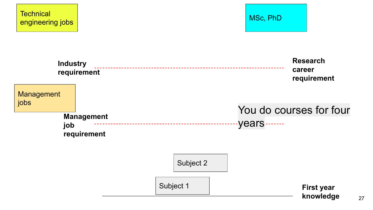

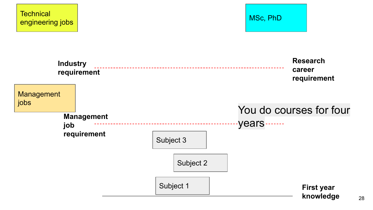

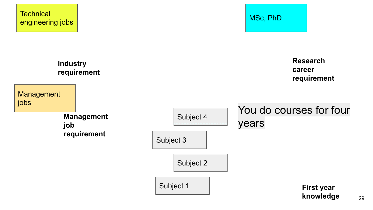

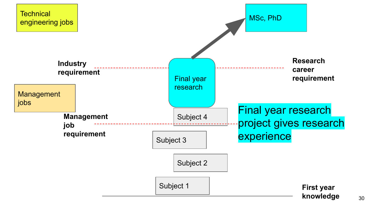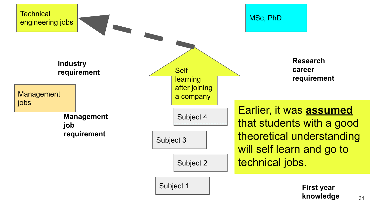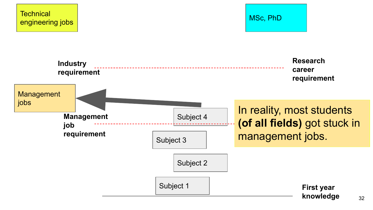

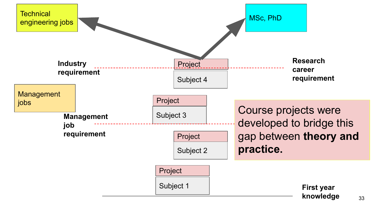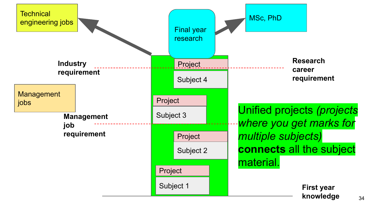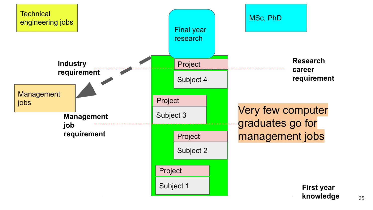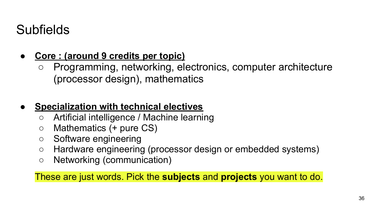### Subfields

### **● Core : (around 9 credits per topic)**

○ Programming, networking, electronics, computer architecture (processor design), mathematics

### **● Specialization with technical electives**

- Artificial intelligence / Machine learning
- $\circ$  Mathematics (+ pure CS)
- Software engineering
- Hardware engineering (processor design or embedded systems)
- Networking (communication)

These are just words. Pick the **subjects** and **projects** you want to do.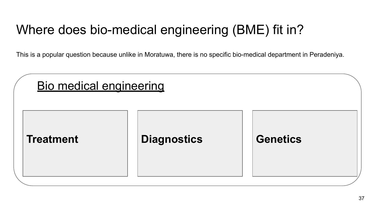### Where does bio-medical engineering (BME) fit in?

This is a popular question because unlike in Moratuwa, there is no specific bio-medical department in Peradeniya.

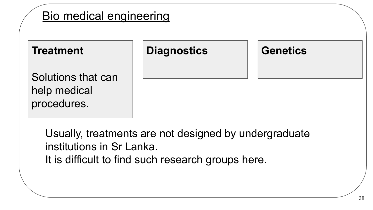

Usually, treatments are not designed by undergraduate institutions in Sr Lanka. It is difficult to find such research groups here.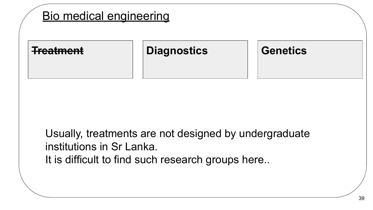

Usually, treatments are not designed by undergraduate institutions in Sr Lanka. It is difficult to find such research groups here..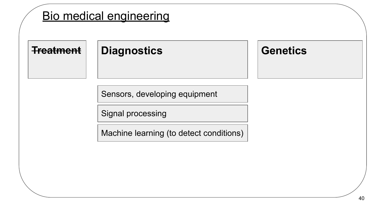### Bio medical engineering

**Treatment**

### Diagnostics **Genetics**

Sensors, developing equipment

Signal processing

Machine learning (to detect conditions)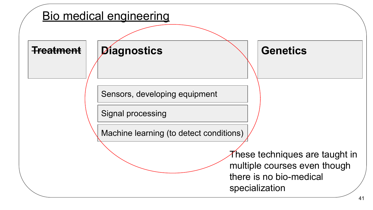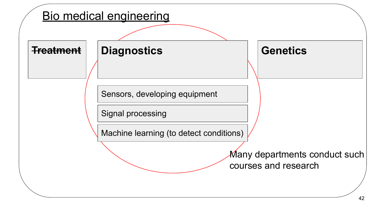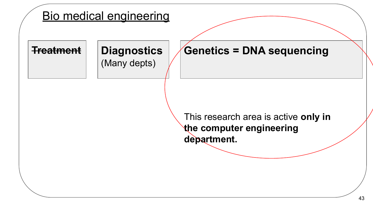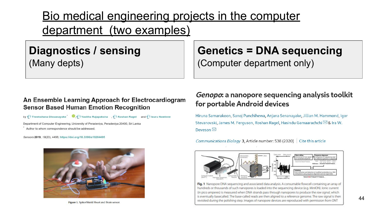### Bio medical engineering projects in the computer department (two examples)

### **Diagnostics / sensing** (Many depts)

#### An Ensemble Learning Approach for Electrocardiogram **Sensor Based Human Emotion Recognition**

by Theekshana Dissanayake **O**, Taxitha Rajapaksha **Rajapakshan Ragel** and I Isuru Nawinne

Department of Computer Engineering, University of Peradeniya, Peradeniya 20400, Sri Lanka Author to whom correspondence should be addressed.

Sensors 2019, 19(20), 4495; https://doi.org/10.3390/s19204495



Figure 1. SpikerShield Heart and Brain sensor.

### **Genetics = DNA sequencing**

(Computer department only)

#### Genopo: a nanopore sequencing analysis toolkit for portable Android devices

Hiruna Samarakoon, Sanoj Punchihewa, Anjana Senanayake, Jillian M. Hammond, Igor Stevanovski, James M. Ferguson, Roshan Ragel, Hasindu Gamaarachchi ⊠ & Ira W. Deveson

Communications Biology 3, Article number: 538 (2020) Cite this article



Fig. 1 Nanopore DNA sequencing and associated data analysis. A consumable flowcell containing an array of hundreds or thousands of such nanopores is loaded into the sequencing device (e.g. MinION). Ionic current (in pico amperes) is measured when DNA strands pass through nanopores to produce the raw signal, which is eventually basecalled. The base-called reads are then aligned to a reference genome. The raw signal is then revisited during the polishing step. Images of nanopore devices are reproduced with permission from ONT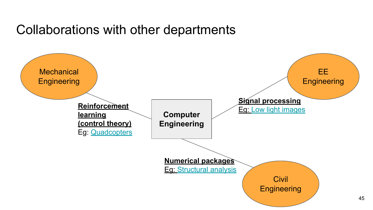### Collaborations with other departments

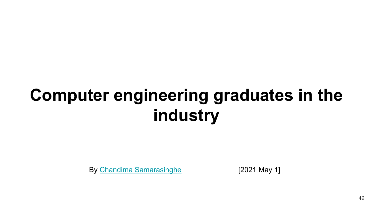# **Computer engineering graduates in the industry**

By [Chandima Samarasinghe](https://people.ce.pdn.ac.lk/students/e14/305/) [2021 May 1]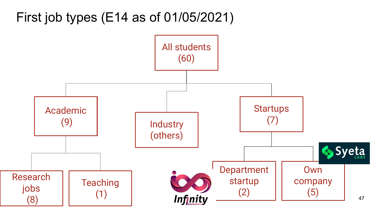First job types (E14 as of 01/05/2021)

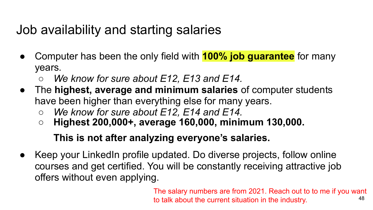### Job availability and starting salaries

- Computer has been the only field with **100% job guarantee** for many years.
	- *○ We know for sure about E12, E13 and E14.*
- The **highest, average and minimum salaries** of computer students have been higher than everything else for many years.
	- *○ We know for sure about E12, E14 and E14.*
	- **○ Highest 200,000+, average 160,000, minimum 130,000.**

### **This is not after analyzing everyone's salaries.**

● Keep your LinkedIn profile updated. Do diverse projects, follow online courses and get certified. You will be constantly receiving attractive job offers without even applying.

> 48 The salary numbers are from 2021. Reach out to to me if you want to talk about the current situation in the industry.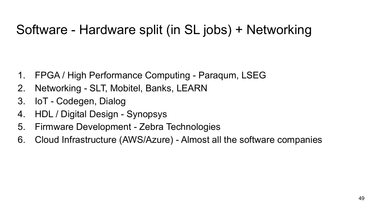### Software - Hardware split (in SL jobs) + Networking

- 1. FPGA / High Performance Computing Paraqum, LSEG
- 2. Networking SLT, Mobitel, Banks, LEARN
- 3. IoT Codegen, Dialog
- 4. HDL / Digital Design Synopsys
- 5. Firmware Development Zebra Technologies
- 6. Cloud Infrastructure (AWS/Azure) Almost all the software companies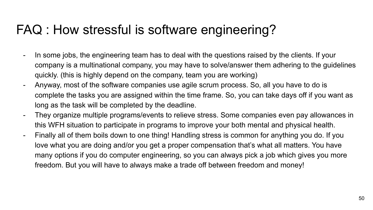### FAQ : How stressful is software engineering?

- In some jobs, the engineering team has to deal with the questions raised by the clients. If your company is a multinational company, you may have to solve/answer them adhering to the guidelines quickly. (this is highly depend on the company, team you are working)
- Anyway, most of the software companies use agile scrum process. So, all you have to do is complete the tasks you are assigned within the time frame. So, you can take days off if you want as long as the task will be completed by the deadline.
- They organize multiple programs/events to relieve stress. Some companies even pay allowances in this WFH situation to participate in programs to improve your both mental and physical health.
- Finally all of them boils down to one thing! Handling stress is common for anything you do. If you love what you are doing and/or you get a proper compensation that's what all matters. You have many options if you do computer engineering, so you can always pick a job which gives you more freedom. But you will have to always make a trade off between freedom and money!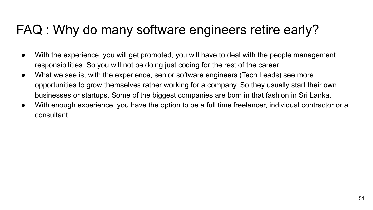### FAQ : Why do many software engineers retire early?

- With the experience, you will get promoted, you will have to deal with the people management responsibilities. So you will not be doing just coding for the rest of the career.
- What we see is, with the experience, senior software engineers (Tech Leads) see more opportunities to grow themselves rather working for a company. So they usually start their own businesses or startups. Some of the biggest companies are born in that fashion in Sri Lanka.
- With enough experience, you have the option to be a full time freelancer, individual contractor or a consultant.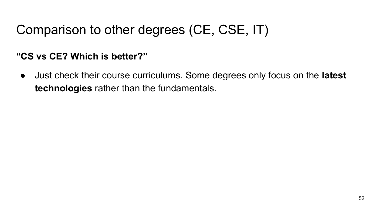### Comparison to other degrees (CE, CSE, IT)

### **"CS vs CE? Which is better?"**

● Just check their course curriculums. Some degrees only focus on the **latest technologies** rather than the fundamentals.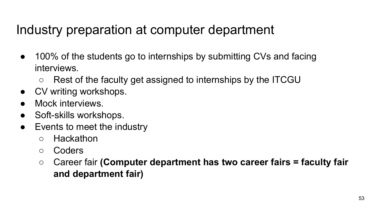### Industry preparation at computer department

- 100% of the students go to internships by submitting CVs and facing interviews.
	- Rest of the faculty get assigned to internships by the ITCGU
- CV writing workshops.
- Mock interviews.
- Soft-skills workshops.
- Events to meet the industry
	- Hackathon
	- Coders
	- Career fair **(Computer department has two career fairs = faculty fair and department fair)**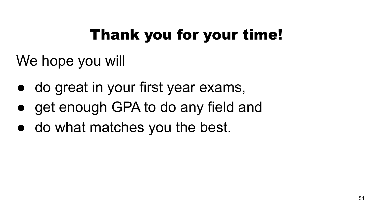# Thank you for your time!

We hope you will

- do great in your first year exams,
- get enough GPA to do any field and
- do what matches you the best.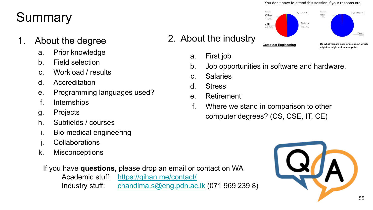# **Summary**

- 1. About the degree
	- a. Prior knowledge
	- b. Field selection
	- c. Workload / results
	- d. Accreditation
	- e. Programming languages used?
	- f. Internships
	- g. Projects
	- h. Subfields / courses
	- i. Bio-medical engineering
	- j. Collaborations
	- k. Misconceptions

If you have **questions**, please drop an email or contact on WA Academic stuff: <https://gihan.me/contact/>

Industry stuff: [chandima.s@eng.pdn.ac.lk](mailto:chandima.s@eng.pdn.ac.lk) (071 969 239 8)

#### You don't have to attend this session if your reasons are:



a. First job

2. About the industry

- b. Job opportunities in software and hardware.
- c. Salaries
- d. Stress
- e. Retirement
- f. Where we stand in comparison to other computer degrees? (CS, CSE, IT, CE)